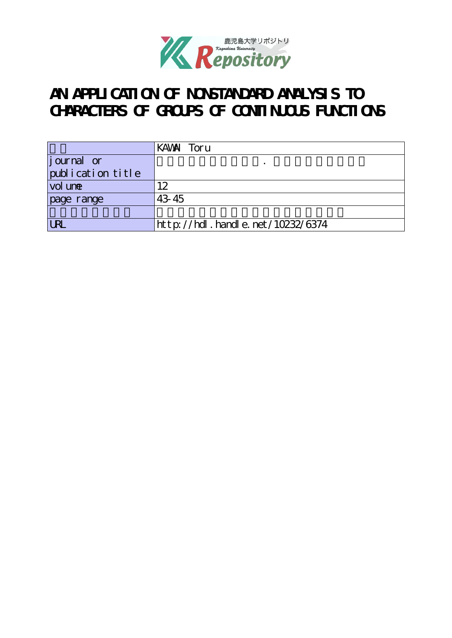

# **AN APPLICATION OF NONSTANDARD ANALYSIS TO** CHARACTERS OF GROUPS OF CONTINUOUS FUNCTIONS

|                   | KAWAI Toru                       |
|-------------------|----------------------------------|
| journal or        |                                  |
| publication title |                                  |
| vol une           | 12                               |
| page range        | 43 45                            |
|                   |                                  |
| <b>LRI</b>        | http://hdl.handle.net/10232/6374 |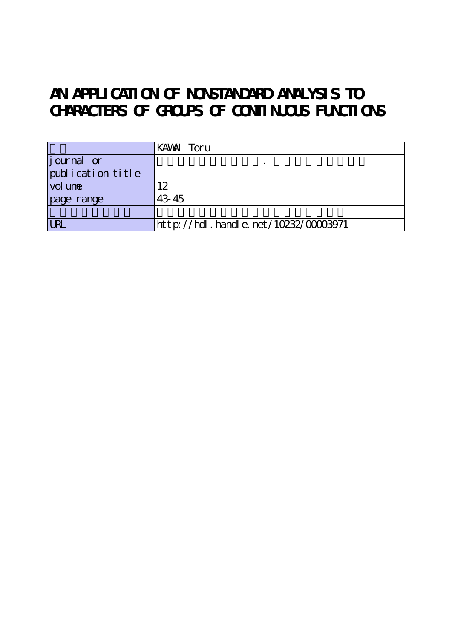# **AN APPLICATION OF NONSTANDARD ANALYSIS TO** CHARACTERS OF GROUPS OF CONTINUOUS FUNCTIONS

|                    | KAWAI Toru                           |
|--------------------|--------------------------------------|
| <i>j</i> ournal or |                                      |
| publication title  |                                      |
| vol une            | 12                                   |
| page range         | 43 45                                |
|                    |                                      |
| <b>LRI</b>         | http://hdl.handle.net/10232/00003971 |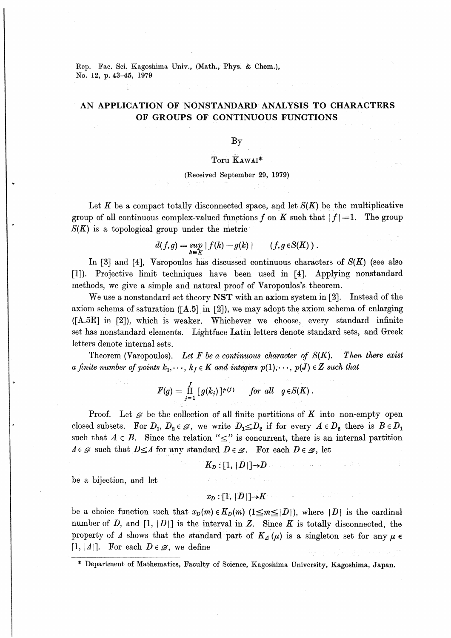Rep. Fac. Sci. Kagoshima Univ., (Math., Phys. & Chem.), No. 12, p. 43-45, 1979

## AN APPLICATION OF NONSTANDARD ANALYSIS TO CHARACTERS OF GROUPS OF CONTINUOUS FUNCTIONS

### $\mathbf{B}\mathbf{y}$

#### Toru KAWAI\*

### (Received September 29, 1979)

Let K be a compact totally disconnected space, and let  $S(K)$  be the multiplicative group of all continuous complex-valued functions f on K such that  $|f|=1$ . The group  $S(K)$  is a topological group under the metric

$$
d(f,g) = \sup_{k \in K} |f(k) - g(k)| \qquad (f, g \in S(K)) .
$$

In [3] and [4]. Varopoulos has discussed continuous characters of  $S(K)$  (see also [1]). Projective limit techniques have been used in [4]. Applying nonstandard methods, we give a simple and natural proof of Varopoulos's theorem.

We use a nonstandard set theory NST with an axiom system in [2]. Instead of the axiom schema of saturation ( $[A.5]$  in  $[2]$ ), we may adopt the axiom schema of enlarging ([A.5E] in [2]), which is weaker. Whichever we choose, every standard infinite set has nonstandard elements. Lightface Latin letters denote standard sets, and Greek letters denote internal sets.

Theorem (Varopoulos). Let F be a continuous character of  $S(K)$ . Then there exist a finite number of points  $k_1, \dots, k_l \in K$  and integers  $p(1), \dots, p(J) \in Z$  such that

$$
F(g) = \prod_{j=1}^J [g(k_j)]^{p(j)} \quad \text{for all} \quad g \in S(K).
$$

**Proof.** Let  $\mathscr{D}$  be the collection of all finite partitions of K into non-empty open closed subsets. For  $D_1, D_2 \in \mathcal{D}$ , we write  $D_1 \le D_2$  if for every  $A \in D_2$  there is  $B \in D_1$ such that  $A \in B$ . Since the relation " $\leq$ " is concurrent, there is an internal partition  $\Delta \in \mathscr{D}$  such that  $D \leq \Delta$  for any standard  $D \in \mathscr{D}$ . For each  $D \in \mathscr{D}$ , let

$$
K_D: [1,\,|D|]{\rightarrow} D
$$

be a bijection, and let

$$
x_D : [1, |D|] \rightarrow K
$$

be a choice function such that  $x_D(m) \in K_D(m)$   $(1 \leq m \leq |D|)$ , where  $|D|$  is the cardinal number of D, and [1, |D|] is the interval in Z. Since K is totally disconnected, the property of  $\Lambda$  shows that the standard part of  $K_{\Lambda}(\mu)$  is a singleton set for any  $\mu \in$  $[1, |A|]$ . For each  $D \in \mathscr{D}$ , we define

\* Department of Mathematics, Faculty of Science, Kagoshima University, Kagoshima, Japan.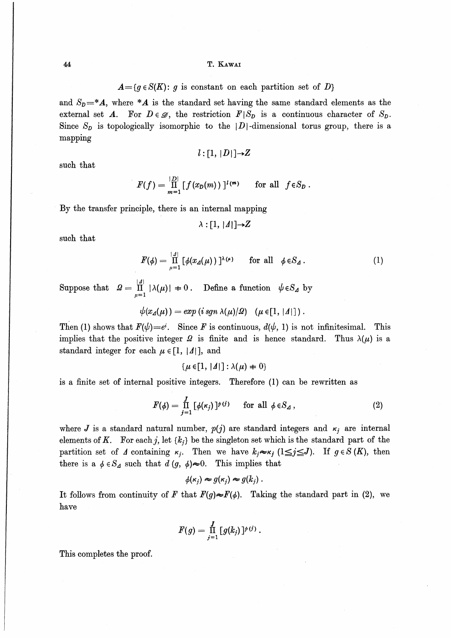$A = \{g \in S(K): g \text{ is constant on each partition set of } D\}$ 

and  $S_p = A$ , where  $*A$  is the standard set having the same standard elements as the external set A. For  $D \in \mathscr{D}$ , the restriction  $F|S_D$  is a continuous character of  $S_D$ . Since  $S_p$  is topologically isomorphic to the |D|-dimensional torus group, there is a mapping

$$
l:[1,|D|]{\rightarrow}Z
$$

such that

$$
F(f) = \prod_{m=1}^{|D|} [f(x_D(m))]^{l(m)} \quad \text{for all } f \in S_D.
$$

By the transfer principle, there is an internal mapping

$$
\lambda : [1, |A|] \rightarrow Z
$$

such that

$$
F(\phi) = \prod_{\mu=1}^{|A|} \left[ \phi(x_{\Delta}(\mu)) \right]^{\lambda(\mu)} \quad \text{for all} \quad \phi \in S_{\Delta}.
$$
 (1)

Suppose that  $\Omega = \prod_{\mu=1}^{|A|} |\lambda(\mu)| + 0$ . Define a function  $\psi \in S_A$  by

$$
\psi(x_{\Delta}(\mu)) = exp(i \, sgn \, \lambda(\mu)/\Omega) \quad (\mu \in [1, |\Lambda|]) \, .
$$

Then (1) shows that  $F(\psi) = e^i$ . Since F is continuous,  $d(\psi, 1)$  is not infinitesimal. This implies that the positive integer  $\Omega$  is finite and is hence standard. Thus  $\lambda(\mu)$  is a standard integer for each  $\mu \in [1, 1/2]$ , and

 $\{\mu \in [1, |A|] : \lambda(\mu) = 0\}$ 

is a finite set of internal positive integers. Therefore (1) can be rewritten as

$$
F(\phi) = \prod_{j=1}^{J} \left[ \phi(\kappa_j) \right]^{p(j)} \quad \text{for all } \phi \in S_{\mathcal{A}} \,, \tag{2}
$$

where J is a standard natural number,  $p(j)$  are standard integers and  $\kappa_i$  are internal elements of K. For each j, let  $\{k_i\}$  be the singleton set which is the standard part of the partition set of  $\Lambda$  containing  $\kappa_i$ . Then we have  $k_i \approx \kappa_i$  ( $1 \leq i \leq J$ ). If  $g \in S(K)$ , then there is a  $\phi \in S_4$  such that  $d(g, \phi) \approx 0$ . This implies that

$$
\phi(\kappa_j) \approx g(\kappa_j) \approx g(k_j) \ .
$$

It follows from continuity of F that  $F(q) \approx F(\phi)$ . Taking the standard part in (2), we have

$$
F(g)=\prod_{j=1}^J\,[\,g(k_j)\,]^{p\,(j)}\ .
$$

This completes the proof.